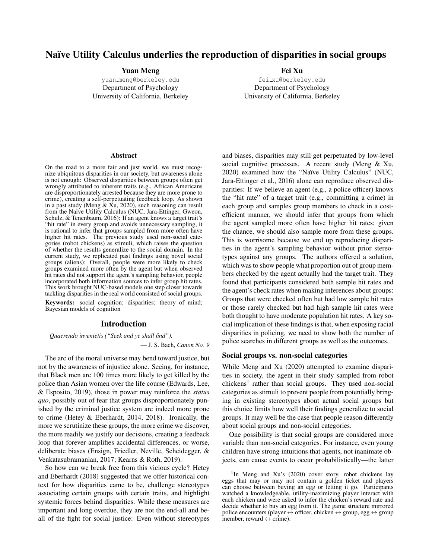# Naïve Utility Calculus underlies the reproduction of disparities in social groups

#### Yuan Meng

yuan [meng@berkeley.edu](mailto:yuan_meng@berkeley.edu) Department of Psychology University of California, Berkeley Fei Xu

fei [xu@berkeley.edu](mailto:fei_xu@berkeley.edu) Department of Psychology University of California, Berkeley

#### Abstract

On the road to a more fair and just world, we must recognize ubiquitous disparities in our society, but awareness alone is not enough: Observed disparities between groups often get wrongly attributed to inherent traits (e.g., African Americans are disproportionately arrested because they are more prone to crime), creating a self-perpetuating feedback loop. As shown in a past study (Meng  $\&$  Xu, 2020), such reasoning can result from the Naïve Utility Calculus (NUC, [Jara-Ettinger, Gweon,](#page-6-1) [Schulz, & Tenenbaum, 2016\)](#page-6-1): If an agent knows a target trait's "hit rate" in every group and avoids unnecessary sampling, it is rational to infer that groups sampled from more often have higher hit rates. The previous study used non-social categories (robot chickens) as stimuli, which raises the question of whether the results generalize to the social domain. In the current study, we replicated past findings using novel social groups (aliens): Overall, people were more likely to check groups examined more often by the agent but when observed hit rates did not support the agent's sampling behavior, people incorporated both information sources to infer group hit rates. This work brought NUC-based models one step closer towards tackling disparities in the real world consisted of social groups.

Keywords: social cognition; disparities; theory of mind; Bayesian models of cognition

#### Introduction

*Quaerendo invenietis ("Seek and ye shall find").*

— J. S. Bach, *Canon No. 9*

The arc of the moral universe may bend toward justice, but not by the awareness of injustice alone. Seeing, for instance, that Black men are 100 times more likely to get killed by the police than Asian women over the life course [\(Edwards, Lee,](#page-5-0) [& Esposito, 2019\)](#page-5-0), those in power may reinforce the *status quo*, possibly out of fear that groups disproportionately punished by the criminal justice system are indeed more prone to crime [\(Hetey & Eberhardt, 2014,](#page-5-1) [2018\)](#page-5-2). Ironically, the more we scrutinize these groups, the more crime we discover, the more readily we justify our decisions, creating a feedback loop that forever amplifies accidental differences, or worse, deliberate biases [\(Ensign, Friedler, Neville, Scheidegger, &](#page-5-3) [Venkatasubramanian, 2017;](#page-5-3) [Kearns & Roth, 2019\)](#page-6-2).

So how can we break free from this vicious cycle? Hetey and Eberhardt (2018) suggested that we offer historical context for how disparities came to be, challenge stereotypes associating certain groups with certain traits, and highlight systemic forces behind disparities. While these measures are important and long overdue, they are not the end-all and beall of the fight for social justice: Even without stereotypes and biases, disparities may still get perpetuated by low-level social cognitive processes. A recent study [\(Meng & Xu,](#page-6-0) [2020\)](#page-6-0) examined how the "Naïve Utility Calculus" (NUC, [Jara-Ettinger et al., 2016\)](#page-6-1) alone can reproduce observed disparities: If we believe an agent (e.g., a police officer) knows the "hit rate" of a target trait (e.g., committing a crime) in each group and samples group members to check in a costefficient manner, we should infer that groups from which the agent sampled more often have higher hit rates; given the chance, we should also sample more from these groups. This is worrisome because we end up reproducing disparities in the agent's sampling behavior without prior stereotypes against any groups. The authors offered a solution, which was to show people what proportion out of group members checked by the agent actually had the target trait. They found that participants considered both sample hit rates and the agent's check rates when making inferences about groups: Groups that were checked often but had low sample hit rates or those rarely checked but had high sample hit rates were both thought to have moderate population hit rates. A key social implication of these findings is that, when exposing racial disparities in policing, we need to show both the number of police searches in different groups as well as the outcomes.

#### Social groups vs. non-social categories

While Meng and Xu (2020) attempted to examine disparities in society, the agent in their study sampled from robot chickens<sup>[1](#page-0-0)</sup> rather than social groups. They used non-social categories as stimuli to prevent people from potentially bringing in existing stereotypes about actual social groups but this choice limits how well their findings generalize to social groups. It may well be the case that people reason differently about social groups and non-social categories.

One possibility is that social groups are considered more variable than non-social categories. For instance, even young children have strong intuitions that agents, not inanimate objects, can cause events to occur probabilistically—the latter

<span id="page-0-0"></span><sup>&</sup>lt;sup>1</sup>In Meng and Xu's (2020) cover story, robot chickens lay eggs that may or may not contain a golden ticket and players can choose between buying an egg or letting it go. Participants watched a knowledgeable, utility-maximizing player interact with each chicken and were asked to infer the chicken's reward rate and decide whether to buy an egg from it. The game structure mirrored police encounters (player  $\leftrightarrow$  officer, chicken  $\leftrightarrow$  group, egg  $\leftrightarrow$  group member, reward  $\leftrightarrow$  crime).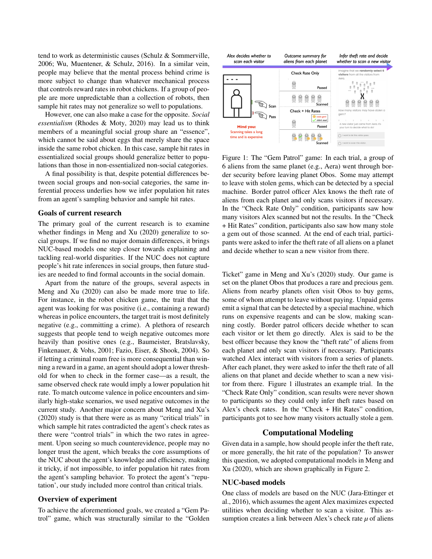tend to work as deterministic causes [\(Schulz & Sommerville,](#page-6-3) [2006;](#page-6-3) [Wu, Muentener, & Schulz, 2016\)](#page-6-4). In a similar vein, people may believe that the mental process behind crime is more subject to change than whatever mechanical process that controls reward rates in robot chickens. If a group of people are more unpredictable than a collection of robots, then sample hit rates may not generalize so well to populations.

However, one can also make a case for the opposite. *Social essentialism* [\(Rhodes & Moty, 2020\)](#page-6-5) may lead us to think members of a meaningful social group share an "essence", which cannot be said about eggs that merely share the space inside the same robot chicken. In this case, sample hit rates in essentialized social groups should generalize better to populations than those in non-essentialized non-social categories.

A final possibility is that, despite potential differences between social groups and non-social categories, the same inferential process underlies how we infer population hit rates from an agent's sampling behavior and sample hit rates.

## Goals of current research

The primary goal of the current research is to examine whether findings in Meng and Xu (2020) generalize to social groups. If we find no major domain differences, it brings NUC-based models one step closer towards explaining and tackling real-world disparities. If the NUC does not capture people's hit rate inferences in social groups, then future studies are needed to find formal accounts in the social domain.

Apart from the nature of the groups, several aspects in Meng and Xu (2020) can also be made more true to life. For instance, in the robot chicken game, the trait that the agent was looking for was positive (i.e., containing a reward) whereas in police encounters, the target trait is most definitely negative (e.g., committing a crime). A plethora of research suggests that people tend to weigh negative outcomes more heavily than positive ones (e.g., [Baumeister, Bratslavsky,](#page-5-4) [Finkenauer, & Vohs, 2001;](#page-5-4) [Fazio, Eiser, & Shook, 2004\)](#page-5-5). So if letting a criminal roam free is more consequential than winning a reward in a game, an agent should adopt a lower threshold for when to check in the former case—as a result, the same observed check rate would imply a lower population hit rate. To match outcome valence in police encounters and similarly high-stake scenarios, we used negative outcomes in the current study. Another major concern about Meng and Xu's (2020) study is that there were as as many "critical trials" in which sample hit rates contradicted the agent's check rates as there were "control trials" in which the two rates in agreement. Upon seeing so much counterevidence, people may no longer trust the agent, which breaks the core assumptions of the NUC about the agent's knowledge and efficiency, making it tricky, if not impossible, to infer population hit rates from the agent's sampling behavior. To protect the agent's "reputation', our study included more control than critical trials.

#### Overview of experiment

To achieve the aforementioned goals, we created a "Gem Patrol" game, which was structurally similar to the "Golden

<span id="page-1-0"></span>

Figure 1: The "Gem Patrol" game: In each trial, a group of 6 aliens from the same planet (e.g., Aera) went through border security before leaving planet Obos. Some may attempt to leave with stolen gems, which can be detected by a special machine. Border patrol officer Alex knows the theft rate of aliens from each planet and only scans visitors if necessary. In the "Check Rate Only" condition, participants saw how many visitors Alex scanned but not the results. In the "Check + Hit Rates" condition, participants also saw how many stole a gem out of those scanned. At the end of each trial, participants were asked to infer the theft rate of all aliens on a planet and decide whether to scan a new visitor from there.

Ticket" game in Meng and Xu's (2020) study. Our game is set on the planet Obos that produces a rare and precious gem. Aliens from nearby planets often visit Obos to buy gems, some of whom attempt to leave without paying. Unpaid gems emit a signal that can be detected by a special machine, which runs on expensive reagents and can be slow, making scanning costly. Border patrol officers decide whether to scan each visitor or let them go directly. Alex is said to be the best officer because they know the "theft rate" of aliens from each planet and only scan visitors if necessary. Participants watched Alex interact with visitors from a series of planets. After each planet, they were asked to infer the theft rate of all aliens on that planet and decide whether to scan a new visitor from there. Figure [1](#page-1-0) illustrates an example trial. In the "Check Rate Only" condition, scan results were never shown to participants so they could only infer theft rates based on Alex's check rates. In the "Check + Hit Rates" condition, participants got to see how many visitors actually stole a gem.

## Computational Modeling

Given data in a sample, how should people infer the theft rate, or more generally, the hit rate of the population? To answer this question, we adopted computational models in Meng and Xu (2020), which are shown graphically in Figure [2.](#page-2-0)

#### NUC-based models

One class of models are based on the NUC [\(Jara-Ettinger et](#page-6-1) [al., 2016\)](#page-6-1), which assumes the agent Alex maximizes expected utilities when deciding whether to scan a visitor. This assumption creates a link between Alex's check rate  $\mu$  of aliens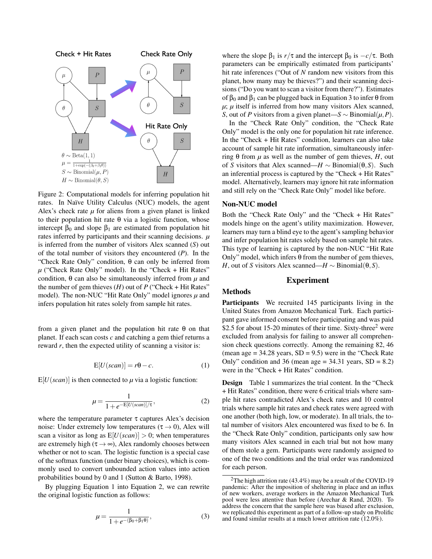<span id="page-2-0"></span>

Figure 2: Computational models for inferring population hit rates. In Naïve Utility Calculus (NUC) models, the agent Alex's check rate  $\mu$  for aliens from a given planet is linked to their population hit rate θ via a logistic function, whose intercept  $β_0$  and slope  $β_1$  are estimated from population hit rates inferred by participants and their scanning decisions. *µ* is inferred from the number of visitors Alex scanned (*S*) out of the total number of visitors they encountered (*P*). In the "Check Rate Only" condition,  $\theta$  can only be inferred from  $\mu$  ("Check Rate Only" model). In the "Check + Hit Rates" condition,  $\theta$  can also be simultaneously inferred from  $\mu$  and the number of gem thieves  $(H)$  out of  $P$  ("Check + Hit Rates" model). The non-NUC "Hit Rate Only" model ignores *µ* and infers population hit rates solely from sample hit rates.

<span id="page-2-1"></span>from a given planet and the population hit rate θ on that planet. If each scan costs *c* and catching a gem thief returns a reward *r*, then the expected utility of scanning a visitor is:

$$
E[U(\text{scan})] = r\Theta - c. \tag{1}
$$

<span id="page-2-2"></span> $E[U(\text{scan})]$  is then connected to  $\mu$  via a logistic function:

$$
\mu = \frac{1}{1 + e^{-E[U(scan)]/\tau}},
$$
\n(2)

where the temperature parameter  $\tau$  captures Alex's decision noise: Under extremely low temperatures ( $\tau \rightarrow 0$ ), Alex will scan a visitor as long as  $E[U(\text{scan})] > 0$ ; when temperatures are extremely high ( $\tau \rightarrow \infty$ ), Alex randomly chooses between whether or not to scan. The logistic function is a special case of the softmax function (under binary choices), which is commonly used to convert unbounded action values into action probabilities bound by 0 and 1 [\(Sutton & Barto, 1998\)](#page-6-6).

<span id="page-2-3"></span>By plugging Equation [1](#page-2-1) into Equation [2,](#page-2-2) we can rewrite the original logistic function as follows:

$$
\mu = \frac{1}{1 + e^{-(\beta_0 + \beta_1 \theta)}},\tag{3}
$$

where the slope  $\beta_1$  is  $r/\tau$  and the intercept  $\beta_0$  is  $-c/\tau$ . Both parameters can be empirically estimated from participants' hit rate inferences ("Out of *N* random new visitors from this planet, how many may be thieves?") and their scanning decisions ("Do you want to scan a visitor from there?"). Estimates of  $\beta_0$  and  $\beta_1$  can be plugged back in Equation [3](#page-2-3) to infer  $\theta$  from  $\mu$ ;  $\mu$  itself is inferred from how many visitors Alex scanned, *S*, out of *P* visitors from a given planet—*S* ∼ Binomial( $\mu$ , *P*).

In the "Check Rate Only" condition, the "Check Rate Only" model is the only one for population hit rate inference. In the "Check + Hit Rates" condition, learners can also take account of sample hit rate information, simultaneously inferring θ from *µ* as well as the number of gem thieves, *H*, out of *S* visitors that Alex scanned—*H* ∼ Binomial(θ,*S*). Such an inferential process is captured by the "Check + Hit Rates" model. Alternatively, learners may ignore hit rate information and still rely on the "Check Rate Only" model like before.

#### Non-NUC model

Both the "Check Rate Only" and the "Check + Hit Rates" models hinge on the agent's utility maximization. However, learners may turn a blind eye to the agent's sampling behavior and infer population hit rates solely based on sample hit rates. This type of learning is captured by the non-NUC "Hit Rate Only" model, which infers θ from the number of gem thieves, *H*, out of *S* visitors Alex scanned—*H* ∼ Binomial( $\theta$ ,*S*).

## Experiment

#### Methods

Participants We recruited 145 participants living in the United States from Amazon Mechanical Turk. Each participant gave informed consent before participating and was paid \$[2](#page-2-4).5 for about 15-20 minutes of their time. Sixty-three<sup>2</sup> were excluded from analysis for failing to answer all comprehension check questions correctly. Among the remaining 82, 46 (mean age  $= 34.28$  years, SD  $= 9.5$ ) were in the "Check Rate" Only" condition and 36 (mean age  $= 34.31$  years, SD  $= 8.2$ ) were in the "Check + Hit Rates" condition.

Design Table [1](#page-3-0) summarizes the trial content. In the "Check + Hit Rates" condition, there were 6 critical trials where sample hit rates contradicted Alex's check rates and 10 control trials where sample hit rates and check rates were agreed with one another (both high, low, or moderate). In all trials, the total number of visitors Alex encountered was fixed to be 6. In the "Check Rate Only" condition, participants only saw how many visitors Alex scanned in each trial but not how many of them stole a gem. Participants were randomly assigned to one of the two conditions and the trial order was randomized for each person.

<span id="page-2-4"></span><sup>&</sup>lt;sup>2</sup>The high attrition rate (43.4%) may be a result of the COVID-19 pandemic: After the imposition of sheltering in place and an influx of new workers, average workers in the Amazon Mechanical Turk pool were less attentive than before [\(Arechar & Rand, 2020\)](#page-5-6). To address the concern that the sample here was biased after exclusion, we replicated this experiment as part of a follow-up study on [Prolific](https://www.prolific.co/) and found similar results at a much lower attrition rate (12.0%).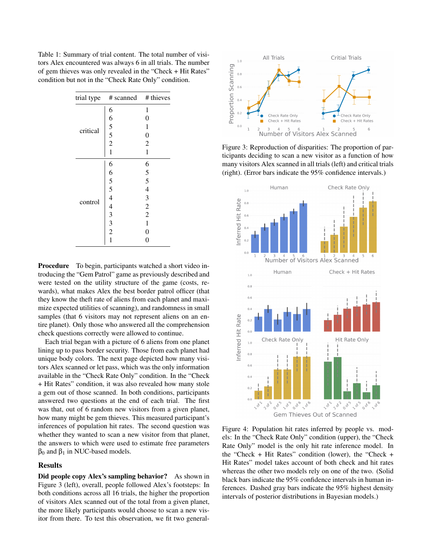<span id="page-3-0"></span>Table 1: Summary of trial content. The total number of visitors Alex encountered was always 6 in all trials. The number of gem thieves was only revealed in the "Check + Hit Rates" condition but not in the "Check Rate Only" condition.

| trial type | # scanned # thieves |                                            |
|------------|---------------------|--------------------------------------------|
| critical   | 6                   | $\mathbf{1}$                               |
|            |                     | $\boldsymbol{0}$                           |
|            | $65$<br>$52$<br>$1$ | $\mathbf{1}$                               |
|            |                     | $\boldsymbol{0}$                           |
|            |                     | $\overline{c}$                             |
|            |                     | $\mathbf{1}$                               |
| control    | 6                   | 6                                          |
|            |                     |                                            |
|            |                     | $\begin{array}{c} 5 \\ 5 \\ 4 \end{array}$ |
|            |                     |                                            |
|            |                     |                                            |
|            |                     | $\frac{3}{2}$                              |
|            |                     | $\overline{c}$                             |
|            | 65544332            | $\mathbf 1$                                |
|            |                     | $\boldsymbol{0}$                           |
|            | $\overline{1}$      | $\overline{0}$                             |

Procedure To begin, participants watched a short video introducing the "Gem Patrol" game as previously described and were tested on the utility structure of the game (costs, rewards), what makes Alex the best border patrol officer (that they know the theft rate of aliens from each planet and maximize expected utilities of scanning), and randomness in small samples (that 6 visitors may not represent aliens on an entire planet). Only those who answered all the comprehension check questions correctly were allowed to continue.

Each trial began with a picture of 6 aliens from one planet lining up to pass border security. Those from each planet had unique body colors. The next page depicted how many visitors Alex scanned or let pass, which was the only information available in the "Check Rate Only" condition. In the "Check + Hit Rates" condition, it was also revealed how many stole a gem out of those scanned. In both conditions, participants answered two questions at the end of each trial. The first was that, out of 6 random new visitors from a given planet, how many might be gem thieves. This measured participant's inferences of population hit rates. The second question was whether they wanted to scan a new visitor from that planet, the answers to which were used to estimate free parameters  $β<sub>0</sub>$  and  $β<sub>1</sub>$  in NUC-based models.

#### Results

Did people copy Alex's sampling behavior? As shown in Figure [3](#page-3-1) (left), overall, people followed Alex's footsteps: In both conditions across all 16 trials, the higher the proportion of visitors Alex scanned out of the total from a given planet, the more likely participants would choose to scan a new visitor from there. To test this observation, we fit two general-

<span id="page-3-1"></span>

Figure 3: Reproduction of disparities: The proportion of participants deciding to scan a new visitor as a function of how many visitors Alex scanned in all trials (left) and critical trials (right). (Error bars indicate the 95% confidence intervals.)

<span id="page-3-2"></span>

Figure 4: Population hit rates inferred by people vs. models: In the "Check Rate Only" condition (upper), the "Check Rate Only" model is the only hit rate inference model. In the "Check + Hit Rates" condition (lower), the "Check + Hit Rates" model takes account of both check and hit rates whereas the other two models rely on one of the two. (Solid black bars indicate the 95% confidence intervals in human inferences. Dashed gray bars indicate the 95% highest density intervals of posterior distributions in Bayesian models.)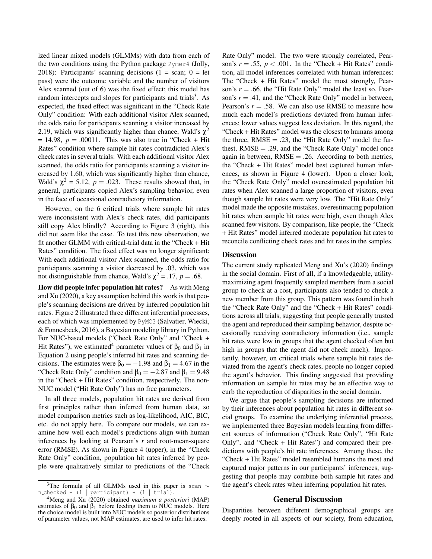ized linear mixed models (GLMMs) with data from each of the two conditions using the Python package Pymer4 [\(Jolly,](#page-6-7) [2018\)](#page-6-7): Participants' scanning decisions  $(1 = scan; 0 = let$ pass) were the outcome variable and the number of visitors Alex scanned (out of 6) was the fixed effect; this model has random intercepts and slopes for participants and trials<sup>[3](#page-4-0)</sup>. As expected, the fixed effect was significant in the "Check Rate Only" condition: With each additional visitor Alex scanned, the odds ratio for participants scanning a visitor increased by 2.19, which was significantly higher than chance, Wald's  $\chi^2$  $= 14.98$ ,  $p = .00011$ . This was also true in "Check + Hit Rates" condition where sample hit rates contradicted Alex's check rates in several trials: With each additional visitor Alex scanned, the odds ratio for participants scanning a visitor increased by 1.60, which was significantly higher than chance, Wald's  $\chi^2 = 5.12$ ,  $p = .023$ . These results showed that, in general, participants copied Alex's sampling behavior, even in the face of occasional contradictory information.

However, on the 6 critical trials where sample hit rates were inconsistent with Alex's check rates, did participants still copy Alex blindly? According to Figure [3](#page-3-1) (right), this did not seem like the case. To test this new observation, we fit another GLMM with critical-trial data in the "Check + Hit Rates" condition. The fixed effect was no longer significant: With each additional visitor Alex scanned, the odds ratio for participants scanning a visitor decreased by .03, which was not distinguishable from chance, Wald's  $\chi^2 = .17$ ,  $p = .68$ .

How did people infer population hit rates? As with Meng and Xu (2020), a key assumption behind this work is that people's scanning decisions are driven by inferred population hit rates. Figure [2](#page-2-0) illustrated three different inferential processes, each of which was implemented by PyMC3 [\(Salvatier, Wiecki,](#page-6-8) [& Fonnesbeck, 2016\)](#page-6-8), a Bayesian modeling library in Python. For NUC-based models ("Check Rate Only" and "Check + Hit Rates"), we estimated<sup>[4](#page-4-1)</sup> parameter values of  $β_0$  and  $β_1$  in Equation [2](#page-2-2) using people's inferred hit rates and scanning decisions. The estimates were  $\beta_0 = -1.98$  and  $\beta_1 = 4.67$  in the "Check Rate Only" condition and  $\beta_0 = -2.87$  and  $\beta_1 = 9.48$ in the "Check + Hit Rates" condition, respectively. The non-NUC model ("Hit Rate Only") has no free parameters.

In all three models, population hit rates are derived from first principles rather than inferred from human data, so model comparison metrics such as log-likelihood, AIC, BIC, etc. do not apply here. To compare our models, we can examine how well each model's predictions align with human inferences by looking at Pearson's *r* and root-mean-square error (RMSE). As shown in Figure [4](#page-3-2) (upper), in the "Check Rate Only" condition, population hit rates inferred by people were qualitatively similar to predictions of the "Check Rate Only" model. The two were strongly correlated, Pearson's  $r = .55$ ,  $p < .001$ . In the "Check + Hit Rates" condition, all model inferences correlated with human inferences: The "Check + Hit Rates" model the most strongly, Pearson's *r* = .66, the "Hit Rate Only" model the least so, Pearson's  $r = .41$ , and the "Check Rate Only" model in between, Pearson's  $r = .58$ . We can also use RMSE to measure how much each model's predictions deviated from human inferences; lower values suggest less deviation. In this regard, the "Check + Hit Rates" model was the closest to humans among the three,  $RMSE = .23$ , the "Hit Rate Only" model the furthest,  $RMSE = .29$ , and the "Check Rate Only" model once again in between,  $RMSE = .26$ . According to both metrics, the "Check + Hit Rates" model best captured human inferences, as shown in Figure [4](#page-3-2) (lower). Upon a closer look, the "Check Rate Only" model overestimated population hit rates when Alex scanned a large proportion of visitors, even though sample hit rates were very low. The "Hit Rate Only" model made the opposite mistakes, overestimating population hit rates when sample hit rates were high, even though Alex scanned few visitors. By comparison, like people, the "Check + Hit Rates" model inferred moderate population hit rates to reconcile conflicting check rates and hit rates in the samples.

#### **Discussion**

The current study replicated Meng and Xu's (2020) findings in the social domain. First of all, if a knowledgeable, utilitymaximizing agent frequently sampled members from a social group to check at a cost, participants also tended to check a new member from this group. This pattern was found in both the "Check Rate Only" and the "Check + Hit Rates" conditions across all trials, suggesting that people generally trusted the agent and reproduced their sampling behavior, despite occasionally receiving contradictory information (i.e., sample hit rates were low in groups that the agent checked often but high in groups that the agent did not check much). Importantly, however, on critical trials where sample hit rates deviated from the agent's check rates, people no longer copied the agent's behavior. This finding suggested that providing information on sample hit rates may be an effective way to curb the reproduction of disparities in the social domain.

We argue that people's sampling decisions are informed by their inferences about population hit rates in different social groups. To examine the underlying inferential process, we implemented three Bayesian models learning from different sources of information ("Check Rate Only", "Hit Rate Only", and "Check + Hit Rates") and compared their predictions with people's hit rate inferences. Among these, the "Check + Hit Rates" model resembled humans the most and captured major patterns in our participants' inferences, suggesting that people may combine both sample hit rates and the agent's check rates when inferring population hit rates.

#### General Discussion

Disparities between different demographical groups are deeply rooted in all aspects of our society, from education,

<span id="page-4-0"></span><sup>&</sup>lt;sup>3</sup>The formula of all GLMMs used in this paper is scan  $\sim$ n checked +  $(1 |$  participant) +  $(1 |$  trial).

<span id="page-4-1"></span><sup>4</sup>Meng and Xu (2020) obtained *maximum a posteriori* (MAP) estimates of  $\beta_0$  and  $\beta_1$  before feeding them to NUC models. Here the choice model is built into NUC models so posterior distributions of parameter values, not MAP estimates, are used to infer hit rates.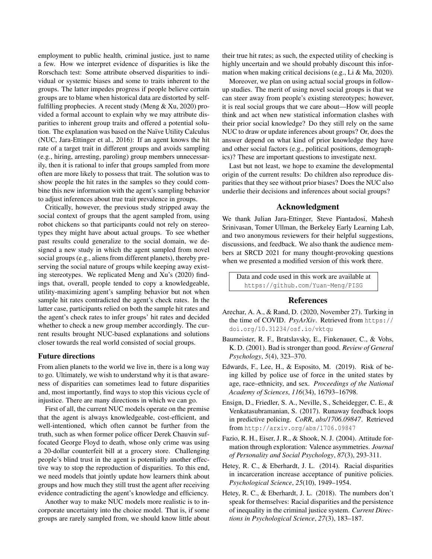employment to public health, criminal justice, just to name a few. How we interpret evidence of disparities is like the Rorschach test: Some attribute observed disparities to individual or systemic biases and some to traits inherent to the groups. The latter impedes progress if people believe certain groups are to blame when historical data are distorted by selffulfilling prophecies. A recent study [\(Meng & Xu, 2020\)](#page-6-0) provided a formal account to explain why we may attribute disparities to inherent group traits and offered a potential solution. The explanation was based on the Naïve Utility Calculus (NUC, [Jara-Ettinger et al., 2016\)](#page-6-1): If an agent knows the hit rate of a target trait in different groups and avoids sampling (e.g., hiring, arresting, paroling) group members unnecessarily, then it is rational to infer that groups sampled from more often are more likely to possess that trait. The solution was to show people the hit rates in the samples so they could combine this new information with the agent's sampling behavior to adjust inferences about true trait prevalence in groups.

Critically, however, the previous study stripped away the social context of groups that the agent sampled from, using robot chickens so that participants could not rely on stereotypes they might have about actual groups. To see whether past results could generalize to the social domain, we designed a new study in which the agent sampled from novel social groups (e.g., aliens from different planets), thereby preserving the social nature of groups while keeping away existing stereotypes. We replicated Meng and Xu's (2020) findings that, overall, people tended to copy a knowledgeable, utility-maximizing agent's sampling behavior but not when sample hit rates contradicted the agent's check rates. In the latter case, participants relied on both the sample hit rates and the agent's check rates to infer groups' hit rates and decided whether to check a new group member accordingly. The current results brought NUC-based explanations and solutions closer towards the real world consisted of social groups.

### Future directions

From alien planets to the world we live in, there is a long way to go. Ultimately, we wish to understand why it is that awareness of disparities can sometimes lead to future disparities and, most importantly, find ways to stop this vicious cycle of injustice. There are many directions in which we can go.

First of all, the current NUC models operate on the premise that the agent is always knowledgeable, cost-efficient, and well-intentioned, which often cannot be further from the truth, such as when former police officer Derek Chauvin suffocated George Floyd to death, whose only crime was using a 20-dollar counterfeit bill at a grocery store. Challenging people's blind trust in the agent is potentially another effective way to stop the reproduction of disparities. To this end, we need models that jointly update how learners think about groups and how much they still trust the agent after receiving evidence contradicting the agent's knowledge and efficiency.

Another way to make NUC models more realistic is to incorporate uncertainty into the choice model. That is, if some groups are rarely sampled from, we should know little about their true hit rates; as such, the expected utility of checking is highly uncertain and we should probably discount this information when making critical decisions (e.g., [Li & Ma, 2020\)](#page-6-9).

Moreover, we plan on using actual social groups in followup studies. The merit of using novel social groups is that we can steer away from people's existing stereotypes; however, it is real social groups that we care about—How will people think and act when new statistical information clashes with their prior social knowledge? Do they still rely on the same NUC to draw or update inferences about groups? Or, does the answer depend on what kind of prior knowledge they have and other social factors (e.g., political positions, demographics)? These are important questions to investigate next.

Last but not least, we hope to examine the developmental origin of the current results: Do children also reproduce disparities that they see without prior biases? Does the NUC also underlie their decisions and inferences about social groups?

## Acknowledgment

We thank Julian Jara-Ettinger, Steve Piantadosi, Mahesh Srinivasan, Tomer Ullman, the Berkeley Early Learning Lab, and two anonymous reviewers for their helpful suggestions, discussions, and feedback. We also thank the audience members at SRCD 2021 for many thought-provoking questions when we presented a modified version of this work there.

Data and code used in this work are available at <https://github.com/Yuan-Meng/PISG>

## References

- <span id="page-5-6"></span>Arechar, A. A., & Rand, D. (2020, November 27). Turking in the time of COVID. *PsyArXiv*. Retrieved from [https://](https://doi.org/10.31234/osf.io/vktqu) [doi.org/10.31234/osf.io/vktqu](https://doi.org/10.31234/osf.io/vktqu)
- <span id="page-5-4"></span>Baumeister, R. F., Bratslavsky, E., Finkenauer, C., & Vohs, K. D. (2001). Bad is stronger than good. *Review of General Psychology*, *5*(4), 323–370.
- <span id="page-5-0"></span>Edwards, F., Lee, H., & Esposito, M. (2019). Risk of being killed by police use of force in the united states by age, race–ethnicity, and sex. *Proceedings of the National Academy of Sciences*, *116*(34), 16793–16798.
- <span id="page-5-3"></span>Ensign, D., Friedler, S. A., Neville, S., Scheidegger, C. E., & Venkatasubramanian, S. (2017). Runaway feedback loops in predictive policing. *CoRR*, *abs/1706.09847*. Retrieved from <http://arxiv.org/abs/1706.09847>
- <span id="page-5-5"></span>Fazio, R. H., Eiser, J. R., & Shook, N. J. (2004). Attitude formation through exploration: Valence asymmetries. *Journal of Personality and Social Psychology*, *87*(3), 293-311.
- <span id="page-5-1"></span>Hetey, R. C., & Eberhardt, J. L. (2014). Racial disparities in incarceration increase acceptance of punitive policies. *Psychological Science*, *25*(10), 1949–1954.
- <span id="page-5-2"></span>Hetey, R. C., & Eberhardt, J. L. (2018). The numbers don't speak for themselves: Racial disparities and the persistence of inequality in the criminal justice system. *Current Directions in Psychological Science*, *27*(3), 183–187.